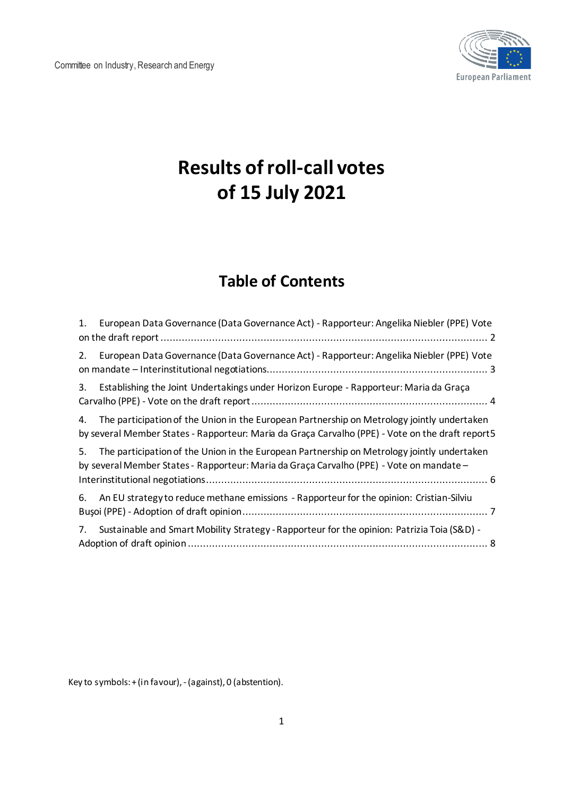

# **Results of roll-call votes of 15 July 2021**

## **Table of Contents**

| 1. | European Data Governance (Data Governance Act) - Rapporteur: Angelika Niebler (PPE) Vote                                                                                                       |  |
|----|------------------------------------------------------------------------------------------------------------------------------------------------------------------------------------------------|--|
| 2. | European Data Governance (Data Governance Act) - Rapporteur: Angelika Niebler (PPE) Vote                                                                                                       |  |
| 3. | Establishing the Joint Undertakings under Horizon Europe - Rapporteur: Maria da Graça                                                                                                          |  |
| 4. | The participation of the Union in the European Partnership on Metrology jointly undertaken<br>by several Member States - Rapporteur: Maria da Graça Carvalho (PPE) - Vote on the draft report5 |  |
| 5. | The participation of the Union in the European Partnership on Metrology jointly undertaken<br>by several Member States - Rapporteur: Maria da Graça Carvalho (PPE) - Vote on mandate -         |  |
| 6. | An EU strategy to reduce methane emissions - Rapporteur for the opinion: Cristian-Silviu                                                                                                       |  |
| 7. | Sustainable and Smart Mobility Strategy - Rapporteur for the opinion: Patrizia Toia (S&D) -                                                                                                    |  |

Key to symbols: + (in favour), - (against), 0 (abstention).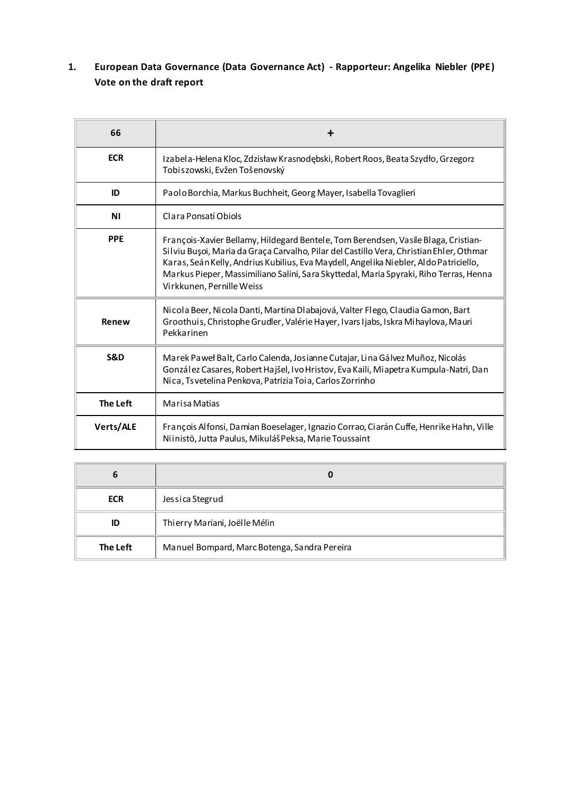#### <span id="page-1-0"></span>**1. European Data Governance (Data Governance Act) - Rapporteur: Angelika Niebler (PPE) Vote on the draft report**

| 66             | ٠                                                                                                                                                                                                                                                                                                                                                                                            |
|----------------|----------------------------------------------------------------------------------------------------------------------------------------------------------------------------------------------------------------------------------------------------------------------------------------------------------------------------------------------------------------------------------------------|
| <b>ECR</b>     | Izabela-Helena Kloc, Zdzisław Krasnodębski, Robert Roos, Beata Szydło, Grzegorz<br>Tobiszowski, Evžen Tošenovský                                                                                                                                                                                                                                                                             |
| ID             | Paolo Borchia, Markus Buchheit, Georg Mayer, Isabella Tovaglieri                                                                                                                                                                                                                                                                                                                             |
| <b>NI</b>      | Clara Ponsatí Obiols                                                                                                                                                                                                                                                                                                                                                                         |
| <b>PPE</b>     | François-Xavier Bellamy, Hildegard Bentele, Tom Berendsen, Vasile Blaga, Cristian-<br>Silviu Bușoi, Maria da Graça Carvalho, Pilar del Castillo Vera, Christian Ehler, Othmar<br>Karas, Seán Kelly, Andrius Kubilius, Eva Maydell, Angelika Niebler, Aldo Patriciello,<br>Markus Pieper, Massimiliano Salini, Sara Skyttedal, Maria Spyraki, Riho Terras, Henna<br>Virkkunen, Pernille Weiss |
| Renew          | Nicola Beer, Nicola Danti, Martina Dlabajová, Valter Flego, Claudia Gamon, Bart<br>Groothuis, Christophe Grudler, Valérie Hayer, Ivars Ijabs, Iskra Mihaylova, Mauri<br>Pekkarinen                                                                                                                                                                                                           |
| <b>S&amp;D</b> | Marek Paweł Balt, Carlo Calenda, Josianne Cutajar, Lina Gálvez Muñoz, Nicolás<br>González Casares, Robert Hajšel, Ivo Hristov, Eva Kaili, Miapetra Kumpula-Natri, Dan<br>Nica, Tsvetelina Penkova, Patrizia Toia, Carlos Zorrinho                                                                                                                                                            |
| The Left       | Marisa Matias                                                                                                                                                                                                                                                                                                                                                                                |
| Verts/ALE      | François Alfonsi, Damian Boeselager, Ignazio Corrao, Ciarán Cuffe, Henrike Hahn, Ville<br>Niinistö, Jutta Paulus, Mikuláš Peksa, Marie Toussaint                                                                                                                                                                                                                                             |

| 6          | 0                                            |
|------------|----------------------------------------------|
| <b>ECR</b> | Jessica Stegrud                              |
| ID         | Thi erry Mariani, Joël le Mélin              |
| The Left   | Manuel Bompard, Marc Botenga, Sandra Pereira |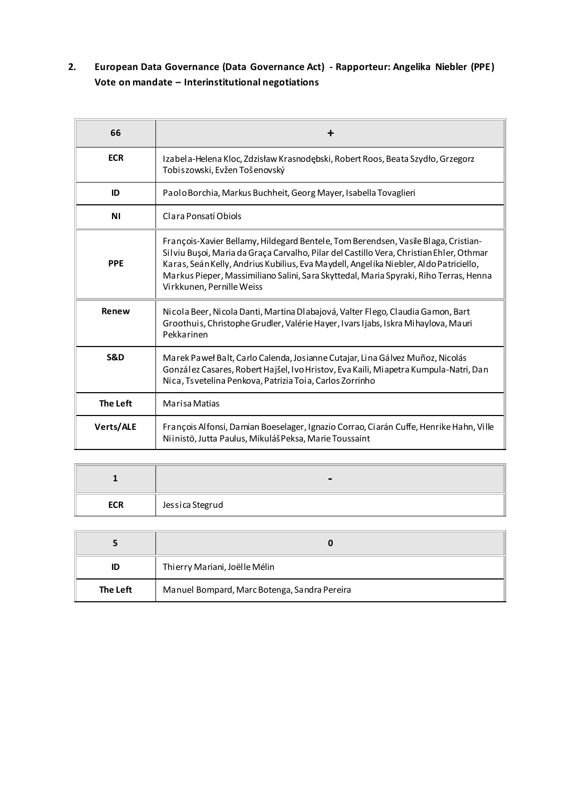#### <span id="page-2-0"></span>**2. European Data Governance (Data Governance Act) - Rapporteur: Angelika Niebler (PPE) Vote on mandate – Interinstitutional negotiations**

| 66             |                                                                                                                                                                                                                                                                                                                                                                                              |
|----------------|----------------------------------------------------------------------------------------------------------------------------------------------------------------------------------------------------------------------------------------------------------------------------------------------------------------------------------------------------------------------------------------------|
| <b>ECR</b>     | Izabela-Helena Kloc, Zdzisław Krasnodębski, Robert Roos, Beata Szydło, Grzegorz<br>Tobiszowski, Evžen Tošenovský                                                                                                                                                                                                                                                                             |
| ID             | Paolo Borchia, Markus Buchheit, Georg Mayer, Isabella Tovaglieri                                                                                                                                                                                                                                                                                                                             |
| <b>NI</b>      | Clara Ponsatí Obiols                                                                                                                                                                                                                                                                                                                                                                         |
| <b>PPE</b>     | François-Xavier Bellamy, Hildegard Bentele, Tom Berendsen, Vasile Blaga, Cristian-<br>Silviu Bușoi, Maria da Graça Carvalho, Pilar del Castillo Vera, Christian Ehler, Othmar<br>Karas, Seán Kelly, Andrius Kubilius, Eva Maydell, Angelika Niebler, Aldo Patriciello,<br>Markus Pieper, Massimiliano Salini, Sara Skyttedal, Maria Spyraki, Riho Terras, Henna<br>Virkkunen, Pernille Weiss |
| Renew          | Nicola Beer, Nicola Danti, Martina Dlabajová, Valter Flego, Claudia Gamon, Bart<br>Groothuis, Christophe Grudler, Valérie Hayer, Ivars Ijabs, Iskra Mihaylova, Mauri<br>Pekkarinen                                                                                                                                                                                                           |
| <b>S&amp;D</b> | Marek Paweł Balt, Carlo Calenda, Josianne Cutajar, Lina Gálvez Muñoz, Nicolás<br>González Casares, Robert Hajšel, Ivo Hristov, Eva Kaili, Miapetra Kumpula-Natri, Dan<br>Nica, Tsvetelina Penkova, Patrizia Toia, Carlos Zorrinho                                                                                                                                                            |
| The Left       | <b>Marisa Matias</b>                                                                                                                                                                                                                                                                                                                                                                         |
| Verts/ALE      | François Alfonsi, Damian Boeselager, Ignazio Corrao, Ciarán Cuffe, Henrike Hahn, Ville<br>Niinistö, Jutta Paulus, Mikuláš Peksa, Marie Toussaint                                                                                                                                                                                                                                             |

|            | $\blacksquare$  |
|------------|-----------------|
| <b>ECR</b> | Jessica Stegrud |

|          | O                                            |
|----------|----------------------------------------------|
| ID       | Thi erry Mariani, Joëlle Mélin               |
| The Left | Manuel Bompard, Marc Botenga, Sandra Pereira |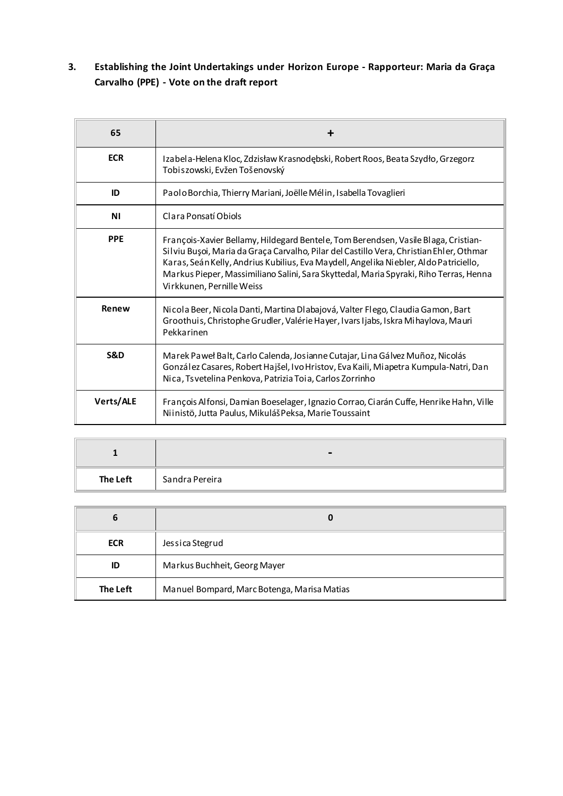#### <span id="page-3-0"></span>**3. Establishing the Joint Undertakings under Horizon Europe - Rapporteur: Maria da Graça Carvalho (PPE) - Vote on the draft report**

| 65         | ┿                                                                                                                                                                                                                                                                                                                                                                                            |
|------------|----------------------------------------------------------------------------------------------------------------------------------------------------------------------------------------------------------------------------------------------------------------------------------------------------------------------------------------------------------------------------------------------|
| <b>ECR</b> | Izabela-Helena Kloc, Zdzisław Krasnodębski, Robert Roos, Beata Szydło, Grzegorz<br>Tobiszowski, Evžen Tošenovský                                                                                                                                                                                                                                                                             |
| ID         | Paolo Borchia, Thierry Mariani, Joëlle Mélin, Isabella Tovaglieri                                                                                                                                                                                                                                                                                                                            |
| ΝI         | Clara Ponsatí Obiols                                                                                                                                                                                                                                                                                                                                                                         |
| <b>PPE</b> | François-Xavier Bellamy, Hildegard Bentele, Tom Berendsen, Vasile Blaga, Cristian-<br>Silviu Bușoi, Maria da Graça Carvalho, Pilar del Castillo Vera, Christian Ehler, Othmar<br>Karas, Seán Kelly, Andrius Kubilius, Eva Maydell, Angelika Niebler, Aldo Patriciello,<br>Markus Pieper, Massimiliano Salini, Sara Skyttedal, Maria Spyraki, Riho Terras, Henna<br>Virkkunen, Pernille Weiss |
| Renew      | Nicola Beer, Nicola Danti, Martina Dlabajová, Valter Flego, Claudia Gamon, Bart<br>Groothuis, Christophe Grudler, Valérie Hayer, Ivars Ijabs, Iskra Mihaylova, Mauri<br>Pekkarinen                                                                                                                                                                                                           |
| S&D        | Marek Paweł Balt, Carlo Calenda, Josianne Cutajar, Lina Gálvez Muñoz, Nicolás<br>González Casares, Robert Hajšel, Ivo Hristov, Eva Kaili, Miapetra Kumpula-Natri, Dan<br>Nica, Tsvetelina Penkova, Patrizia Toia, Carlos Zorrinho                                                                                                                                                            |
| Verts/ALE  | François Alfonsi, Damian Boeselager, Ignazio Corrao, Ciarán Cuffe, Henrike Hahn, Ville<br>Niinistö, Jutta Paulus, Mikuláš Peksa, Marie Toussaint                                                                                                                                                                                                                                             |

|                 | $\blacksquare$ |
|-----------------|----------------|
| <b>The Left</b> | Sandra Pereira |

| $\mathbf b$ | 0                                           |
|-------------|---------------------------------------------|
| <b>ECR</b>  | Jessica Stegrud                             |
| ID          | Markus Buchheit, Georg Mayer                |
| The Left    | Manuel Bompard, Marc Botenga, Marisa Matias |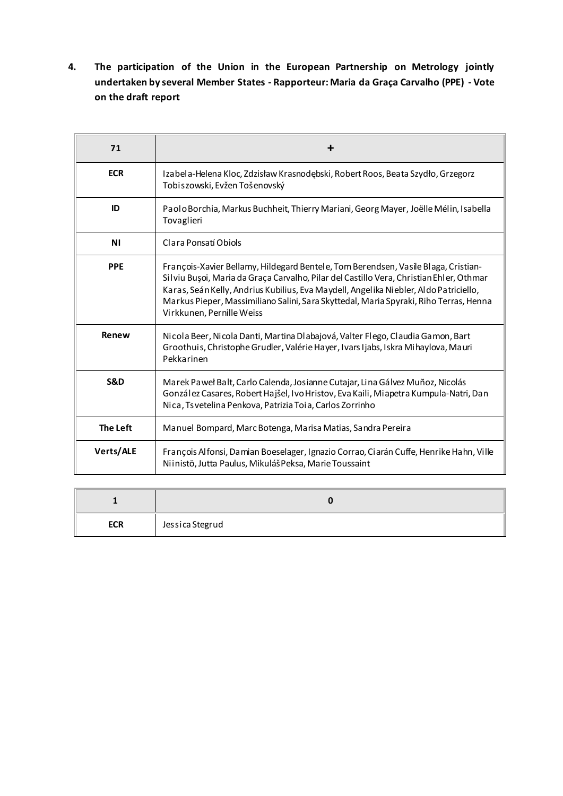<span id="page-4-0"></span>**4. The participation of the Union in the European Partnership on Metrology jointly undertaken by several Member States - Rapporteur: Maria da Graça Carvalho (PPE) - Vote on the draft report**

| 71             | ╋                                                                                                                                                                                                                                                                                                                                                                                            |
|----------------|----------------------------------------------------------------------------------------------------------------------------------------------------------------------------------------------------------------------------------------------------------------------------------------------------------------------------------------------------------------------------------------------|
| <b>ECR</b>     | Izabela-Helena Kloc, Zdzisław Krasnodębski, Robert Roos, Beata Szydło, Grzegorz<br>Tobiszowski, Evžen Tošenovský                                                                                                                                                                                                                                                                             |
| ID             | Paolo Borchia, Markus Buchheit, Thierry Mariani, Georg Mayer, Joëlle Mélin, Isabella<br>Tovaglieri                                                                                                                                                                                                                                                                                           |
| <b>NI</b>      | Clara Ponsatí Obiols                                                                                                                                                                                                                                                                                                                                                                         |
| <b>PPE</b>     | François-Xavier Bellamy, Hildegard Bentele, Tom Berendsen, Vasile Blaga, Cristian-<br>Silviu Buşoi, Maria da Graça Carvalho, Pilar del Castillo Vera, Christian Ehler, Othmar<br>Karas, Seán Kelly, Andrius Kubilius, Eva Maydell, Angelika Niebler, Aldo Patriciello,<br>Markus Pieper, Massimiliano Salini, Sara Skyttedal, Maria Spyraki, Riho Terras, Henna<br>Virkkunen, Pernille Weiss |
| Renew          | Nicola Beer, Nicola Danti, Martina Dlabajová, Valter Flego, Claudia Gamon, Bart<br>Groothuis, Christophe Grudler, Valérie Hayer, Ivars Ijabs, Iskra Mihaylova, Mauri<br>Pekkarinen                                                                                                                                                                                                           |
| <b>S&amp;D</b> | Marek Paweł Balt, Carlo Calenda, Josianne Cutajar, Lina Gálvez Muñoz, Nicolás<br>González Casares, Robert Hajšel, Ivo Hristov, Eva Kaili, Miapetra Kumpula-Natri, Dan<br>Nica, Tsvetelina Penkova, Patrizia Toia, Carlos Zorrinho                                                                                                                                                            |
| The Left       | Manuel Bompard, Marc Botenga, Marisa Matias, Sandra Pereira                                                                                                                                                                                                                                                                                                                                  |
| Verts/ALE      | François Alfonsi, Damian Boeselager, Ignazio Corrao, Ciarán Cuffe, Henrike Hahn, Ville<br>Niinistö, Jutta Paulus, Mikuláš Peksa, Marie Toussaint                                                                                                                                                                                                                                             |

| <b>ECR</b> | Jessica Stegrud |
|------------|-----------------|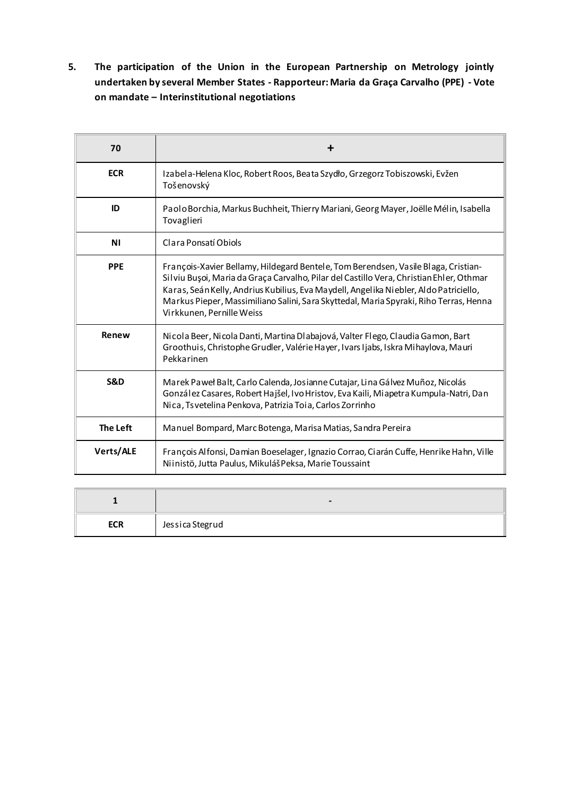<span id="page-5-0"></span>**5. The participation of the Union in the European Partnership on Metrology jointly undertaken by several Member States - Rapporteur: Maria da Graça Carvalho (PPE) - Vote on mandate – Interinstitutional negotiations**

| 70              | ┿                                                                                                                                                                                                                                                                                                                                                                                            |
|-----------------|----------------------------------------------------------------------------------------------------------------------------------------------------------------------------------------------------------------------------------------------------------------------------------------------------------------------------------------------------------------------------------------------|
| <b>ECR</b>      | Izabela-Helena Kloc, Robert Roos, Beata Szydło, Grzegorz Tobiszowski, Evžen<br>Tošenovský                                                                                                                                                                                                                                                                                                    |
| ID              | Paolo Borchia, Markus Buchheit, Thierry Mariani, Georg Mayer, Joëlle Mélin, Isabella<br>Tovaglieri                                                                                                                                                                                                                                                                                           |
| <b>NI</b>       | Clara Ponsatí Obiols                                                                                                                                                                                                                                                                                                                                                                         |
| <b>PPE</b>      | François-Xavier Bellamy, Hildegard Bentele, Tom Berendsen, Vasile Blaga, Cristian-<br>Silviu Bușoi, Maria da Graça Carvalho, Pilar del Castillo Vera, Christian Ehler, Othmar<br>Karas, Seán Kelly, Andrius Kubilius, Eva Maydell, Angelika Niebler, Aldo Patriciello,<br>Markus Pieper, Massimiliano Salini, Sara Skyttedal, Maria Spyraki, Riho Terras, Henna<br>Virkkunen, Pernille Weiss |
| Renew           | Nicola Beer, Nicola Danti, Martina Dlabajová, Valter Flego, Claudia Gamon, Bart<br>Groothuis, Christophe Grudler, Valérie Hayer, Ivars Ijabs, Iskra Mihaylova, Mauri<br>Pekkarinen                                                                                                                                                                                                           |
| <b>S&amp;D</b>  | Marek Paweł Balt, Carlo Calenda, Josianne Cutajar, Lina Gálvez Muñoz, Nicolás<br>González Casares, Robert Hajšel, Ivo Hristov, Eva Kaili, Miapetra Kumpula-Natri, Dan<br>Nica, Tsvetelina Penkova, Patrizia Toia, Carlos Zorrinho                                                                                                                                                            |
| <b>The Left</b> | Manuel Bompard, Marc Botenga, Marisa Matias, Sandra Pereira                                                                                                                                                                                                                                                                                                                                  |
| Verts/ALE       | François Alfonsi, Damian Boeselager, Ignazio Corrao, Ciarán Cuffe, Henrike Hahn, Ville<br>Niinistö, Jutta Paulus, Mikuláš Peksa, Marie Toussaint                                                                                                                                                                                                                                             |

|            | $\overline{\phantom{0}}$ |
|------------|--------------------------|
| <b>ECR</b> | Jessica Stegrud          |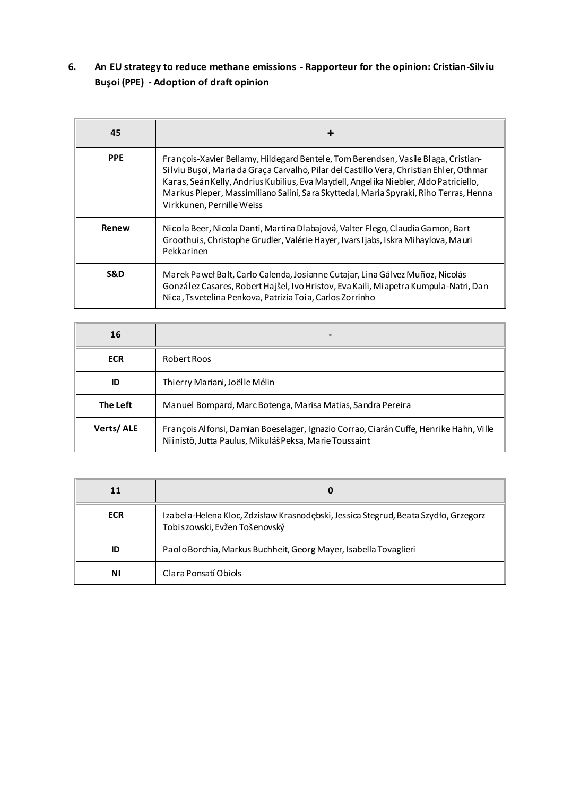#### <span id="page-6-0"></span>**6. An EU strategy to reduce methane emissions - Rapporteur for the opinion: Cristian-Silviu Buşoi (PPE) - Adoption of draft opinion**

| 45         | ┿                                                                                                                                                                                                                                                                                                                                                                                            |
|------------|----------------------------------------------------------------------------------------------------------------------------------------------------------------------------------------------------------------------------------------------------------------------------------------------------------------------------------------------------------------------------------------------|
| <b>PPE</b> | François-Xavier Bellamy, Hildegard Bentele, Tom Berendsen, Vasile Blaga, Cristian-<br>Silviu Bușoi, Maria da Graça Carvalho, Pilar del Castillo Vera, Christian Ehler, Othmar<br>Karas, Seán Kelly, Andrius Kubilius, Eva Maydell, Angelika Niebler, Aldo Patriciello,<br>Markus Pieper, Massimiliano Salini, Sara Skyttedal, Maria Spyraki, Riho Terras, Henna<br>Virkkunen, Pernille Weiss |
| Renew      | Nicola Beer, Nicola Danti, Martina Dlabajová, Valter Flego, Claudia Gamon, Bart<br>Groothuis, Christophe Grudler, Valérie Hayer, Ivars Ijabs, Iskra Mihaylova, Mauri<br>Pekkarinen                                                                                                                                                                                                           |
| S&D        | Marek Paweł Balt, Carlo Calenda, Josianne Cutajar, Lina Gálvez Muñoz, Nicolás<br>González Casares, Robert Hajšel, Ivo Hristov, Eva Kaili, Miapetra Kumpula-Natri, Dan<br>Nica, Tsvetelina Penkova, Patrizia Toia, Carlos Zorrinho                                                                                                                                                            |

| 16         | -                                                                                                                                                |
|------------|--------------------------------------------------------------------------------------------------------------------------------------------------|
| <b>ECR</b> | Robert Roos                                                                                                                                      |
| ID         | Thi erry Mariani, Joël le Mélin                                                                                                                  |
| The Left   | Manuel Bompard, Marc Botenga, Marisa Matias, Sandra Pereira                                                                                      |
| Verts/ALE  | François Alfonsi, Damian Boeselager, Ignazio Corrao, Ciarán Cuffe, Henrike Hahn, Ville<br>Niinistö, Jutta Paulus, Mikuláš Peksa, Marie Toussaint |

| 11         | O                                                                                                                    |
|------------|----------------------------------------------------------------------------------------------------------------------|
| <b>ECR</b> | Izabela-Helena Kloc, Zdzisław Krasnodębski, Jessica Stegrud, Beata Szydło, Grzegorz<br>Tobiszowski, Evžen Tošenovský |
| ID         | Paolo Borchia, Markus Buchheit, Georg Mayer, Isabella Tovaglieri                                                     |
| ΝI         | Clara Ponsatí Obiols                                                                                                 |